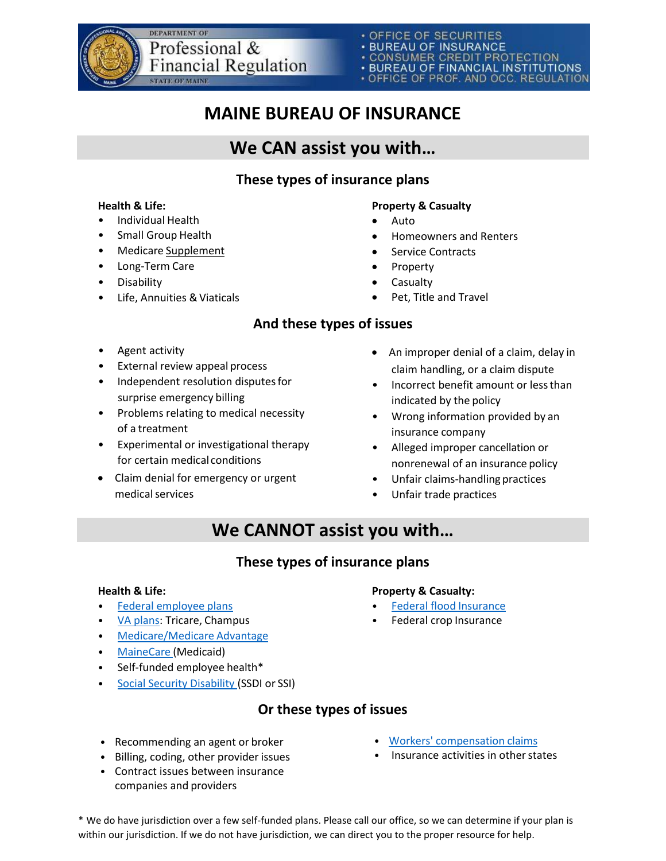

- · BUREAU OF INSURANCE
- CONSUMER CREDIT PROTECTION<br>• BUREAU OF FINANCIAL INSTITUTIONS
- 
- OFFICE OF PROF. AND OCC. REGULATION

# **MAINE BUREAU OF INSURANCE**

# **We CAN assist you with…**

## **These types of insurance plans**

- Individual Health
- Small Group Health
- Medicare Supplement
- Long-Term Care
- Disability
- Life, Annuities & Viaticals

#### **Health & Life: Property & Casualty**

- Auto
- Homeowners and Renters
- Service Contracts
- Property
- Casualty
- Pet, Title and Travel

## **And these types of issues**

- Agent activity
- External review appeal process
- Independent resolution disputes for surprise emergency billing
- Problems relating to medical necessity of a treatment
- Experimental or investigational therapy for certain medical conditions
- Claim denial for emergency or urgent medical services
- An improper denial of a claim, delay in claim handling, or a claim dispute
- Incorrect benefit amount or lessthan indicated by the policy
- Wrong information provided by an insurance company
- Alleged improper cancellation or nonrenewal of an insurance policy
- Unfair claims-handling practices
- Unfair trade practices

# **We CANNOT assist you with…**

## **These types of insurance plans**

#### **Health & Life:**

- [Federal employee](https://www.opm.gov/healthcare-insurance/contact-healthcare-insurance/) plans
- [VA plans:](https://www.va.gov/health-care/about-va-health-benefits/) Tricare, Champus
- [Medicare/Medicare](https://www.medicare.gov/) Advantage
- [MaineCare](https://www.maine.gov/dhhs/oms) (Medicaid)
- Self-funded employee health\*
- [Social Security Disability \(](https://www.ssa.gov/benefits/disability/)SSDI or SSI)

### **Or these types of issues**

- Recommending an agent or broker
- Billing, coding, other provider issues
- Contract issues between insurance companies and providers
- [Workers' compensation](https://www.maine.gov/wcb/Departments/crs/troubleshooters.html) claims
- Insurance activities in other states

\* We do have jurisdiction over a few self-funded plans. Please call our office, so we can determine if your plan is within our jurisdiction. If we do not have jurisdiction, we can direct you to the proper resource for help.

- **Property & Casualty:**
- [Federal flood](https://www.fema.gov/flood-insurance) Insurance
- Federal crop Insurance